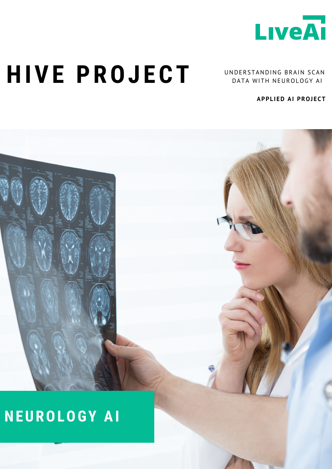

## **HIVE PROJ ECT**

UNDERSTANDING BRAIN SCAN DATA WITH NEUROLOGY AI

**APPL IED AI PROJECT**